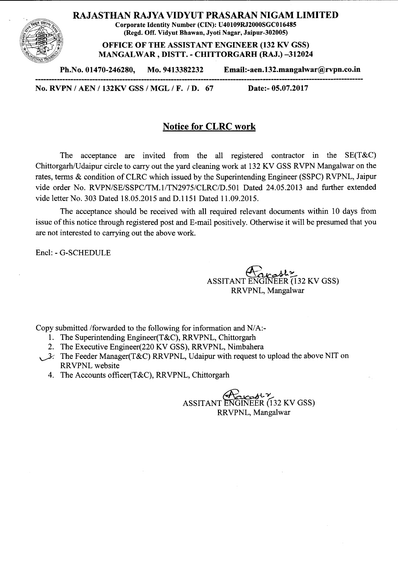

RAJASTHAN RAJYA VIDYUT PRASARAN NIGAM LIMITED

Corporate Identity Number (CIN): U40109RJ2000SGC016485 (Regd. Off. Vidyut Bhawan, Jyoti Nagar, Jaipur-302005)

OFFICE OF THE ASSISTANT ENGINEER (132 KV GSS) MANGALWAR, DISTT. - CHITTORGARH (RAJ.) -312024

Ph.No.01470-246280, Mo. 9413382232 Email:-aen.132.mangalwar@rvpn.co.in

No.RVPN *I* AEN *I* 132KVGSS *I* MGL *I* F. *I* D. 67 Date:- 05.07.2017

## Notice for CLRC work

The acceptance are invited from the all registered contractor in the SE(T&C) Chittorgarh/Udaipur circle to carry out the yard cleaning work at 132 KV GSS RVPN Mangalwar on the rates, terms & condition of CLRC which issued by the Superintending Engineer (SSPC) RVPNL, Jaipur vide order No. *RVPN/SE/SSPC/TM.lITN2975/CLRC/D.501* Dated 24.05.2013 and further extended vide letter No. 303 Dated 18.05.2015 and D.1l51 Dated 11.09.2015.

The acceptance should be received with all required relevant documents within 10 days from issue of this notice through registered post and E-mail positively. Otherwise it will be presumed that you are not interested to carrying out the above work.

Encl: - G-SCHEDULE

 $\bar{\mathcal{L}}$ ASSITANT ENGINEER (132 KV GSS) RRVPNL, Mangalwar

Copy submitted /forwarded to the following for information and *N*/A:-

- 1. The Superintending Engineer(T&C), RRVPNL, Chittorgarh
- 2. The Executive Engineer(220 KV GSS), RRVPNL, Nimbahera
- $\mathcal{I}$ . The Feeder Manager(T&C) RRVPNL, Udaipur with request to upload the above NIT on RRVPNL website
	- 4. The Accounts officer(T&C), RRVPNL, Chittorgarh

 $A_{\text{max}}$ ASSITANT ENGINEER (132 KV GSS) RRVPNL, Mangalwar